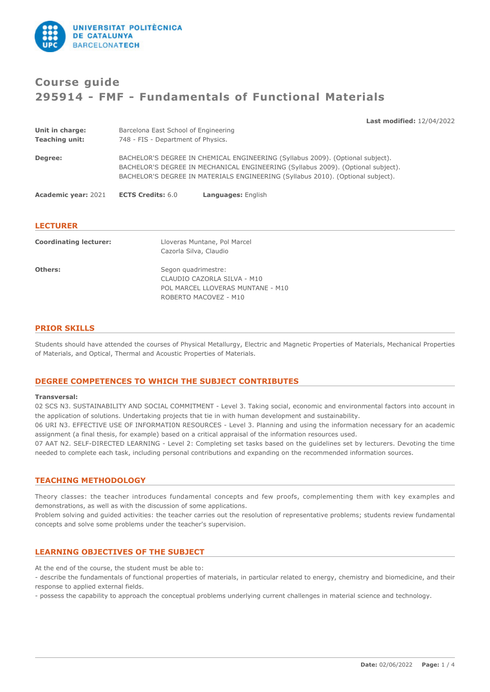

**Unit in charge:** Barcelona East School of Engineering

# **Course guide 295914 - FMF - Fundamentals of Functional Materials**

**Last modified:** 12/04/2022

| <b>Unit in charge:</b>        | Barcelona East School of Engineering                                                                                                                                                                                                                  |
|-------------------------------|-------------------------------------------------------------------------------------------------------------------------------------------------------------------------------------------------------------------------------------------------------|
| <b>Teaching unit:</b>         | 748 - FIS - Department of Physics.                                                                                                                                                                                                                    |
| Degree:                       | BACHELOR'S DEGREE IN CHEMICAL ENGINEERING (Syllabus 2009). (Optional subject).<br>BACHELOR'S DEGREE IN MECHANICAL ENGINEERING (Syllabus 2009). (Optional subject).<br>BACHELOR'S DEGREE IN MATERIALS ENGINEERING (Syllabus 2010). (Optional subject). |
| <b>Academic year: 2021</b>    | <b>ECTS Credits: 6.0</b><br>Languages: English                                                                                                                                                                                                        |
| <b>LECTURER</b>               |                                                                                                                                                                                                                                                       |
| <b>Coordinating lecturer:</b> | Lloveras Muntane, Pol Marcel                                                                                                                                                                                                                          |
|                               | Cazorla Silva, Claudio                                                                                                                                                                                                                                |
| Others:                       | Segon quadrimestre:                                                                                                                                                                                                                                   |
|                               | CLAUDIO CAZORLA SILVA - M10                                                                                                                                                                                                                           |
|                               | POL MARCEL LLOVERAS MUNTANE - M10                                                                                                                                                                                                                     |

ROBERTO MACOVEZ - M10

## **PRIOR SKILLS**

Students should have attended the courses of Physical Metallurgy, Electric and Magnetic Properties of Materials, Mechanical Properties of Materials, and Optical, Thermal and Acoustic Properties of Materials.

## **DEGREE COMPETENCES TO WHICH THE SUBJECT CONTRIBUTES**

#### **Transversal:**

02 SCS N3. SUSTAINABILITY AND SOCIAL COMMITMENT - Level 3. Taking social, economic and environmental factors into account in the application of solutions. Undertaking projects that tie in with human development and sustainability.

06 URI N3. EFFECTIVE USE OF INFORMATI0N RESOURCES - Level 3. Planning and using the information necessary for an academic assignment (a final thesis, for example) based on a critical appraisal of the information resources used.

07 AAT N2. SELF-DIRECTED LEARNING - Level 2: Completing set tasks based on the guidelines set by lecturers. Devoting the time needed to complete each task, including personal contributions and expanding on the recommended information sources.

# **TEACHING METHODOLOGY**

Theory classes: the teacher introduces fundamental concepts and few proofs, complementing them with key examples and demonstrations, as well as with the discussion of some applications.

Problem solving and guided activities: the teacher carries out the resolution of representative problems; students review fundamental concepts and solve some problems under the teacher's supervision.

# **LEARNING OBJECTIVES OF THE SUBJECT**

At the end of the course, the student must be able to:

- describe the fundamentals of functional properties of materials, in particular related to energy, chemistry and biomedicine, and their response to applied external fields.

- possess the capability to approach the conceptual problems underlying current challenges in material science and technology.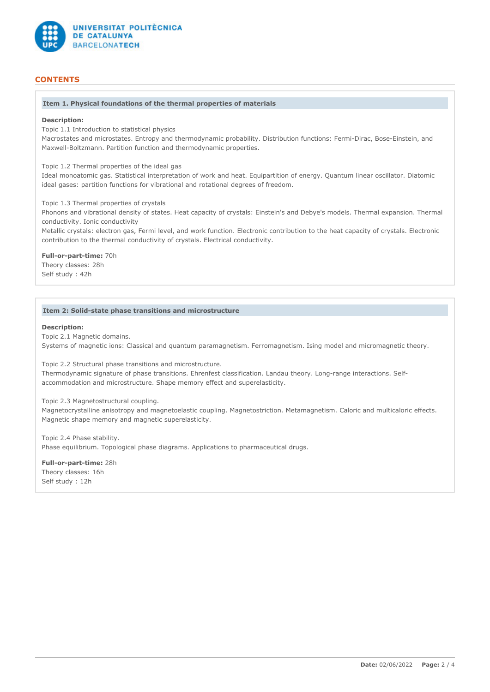

# **CONTENTS**

#### **Item 1. Physical foundations of the thermal properties of materials**

#### **Description:**

Topic 1.1 Introduction to statistical physics

Macrostates and microstates. Entropy and thermodynamic probability. Distribution functions: Fermi-Dirac, Bose-Einstein, and Maxwell-Boltzmann. Partition function and thermodynamic properties.

Topic 1.2 Thermal properties of the ideal gas

Ideal monoatomic gas. Statistical interpretation of work and heat. Equipartition of energy. Quantum linear oscillator. Diatomic ideal gases: partition functions for vibrational and rotational degrees of freedom.

Topic 1.3 Thermal properties of crystals

Phonons and vibrational density of states. Heat capacity of crystals: Einstein's and Debye's models. Thermal expansion. Thermal conductivity. Ionic conductivity

Metallic crystals: electron gas, Fermi level, and work function. Electronic contribution to the heat capacity of crystals. Electronic contribution to the thermal conductivity of crystals. Electrical conductivity.

**Full-or-part-time:** 70h Theory classes: 28h Self study : 42h

#### **Item 2: Solid-state phase transitions and microstructure**

#### **Description:**

Topic 2.1 Magnetic domains.

Systems of magnetic ions: Classical and quantum paramagnetism. Ferromagnetism. Ising model and micromagnetic theory.

Topic 2.2 Structural phase transitions and microstructure.

Thermodynamic signature of phase transitions. Ehrenfest classification. Landau theory. Long-range interactions. Selfaccommodation and microstructure. Shape memory effect and superelasticity.

Topic 2.3 Magnetostructural coupling.

Magnetocrystalline anisotropy and magnetoelastic coupling. Magnetostriction. Metamagnetism. Caloric and multicaloric effects. Magnetic shape memory and magnetic superelasticity.

Topic 2.4 Phase stability. Phase equilibrium. Topological phase diagrams. Applications to pharmaceutical drugs.

**Full-or-part-time:** 28h Theory classes: 16h Self study : 12h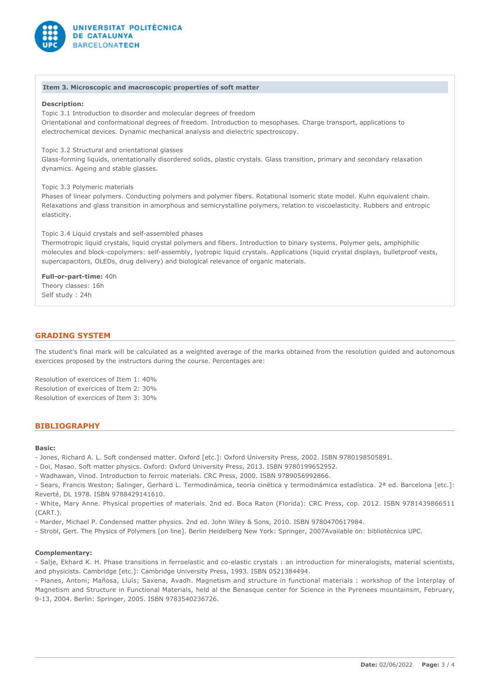

#### **Item 3. Microscopic and macroscopic properties of soft matter**

#### **Description:**

Topic 3.1 Introduction to disorder and molecular degrees of freedom Orientational and conformational degrees of freedom. Introduction to mesophases. Charge transport, applications to electrochemical devices. Dynamic mechanical analysis and dielectric spectroscopy.

Topic 3.2 Structural and orientational glasses

Glass-forming liquids, orientationally disordered solids, plastic crystals. Glass transition, primary and secondary relaxation dynamics. Ageing and stable glasses.

Topic 3.3 Polymeric materials

Phases of linear polymers. Conducting polymers and polymer fibers. Rotational isomeric state model. Kuhn equivalent chain. Relaxations and glass transition in amorphous and semicrystalline polymers, relation to viscoelasticity. Rubbers and entropic elasticity.

Topic 3.4 Liquid crystals and self-assembled phases

Thermotropic liquid crystals, liquid crystal polymers and fibers. Introduction to binary systems. Polymer gels, amphiphilic molecules and block-copolymers: self-assembly, lyotropic liquid crystals. Applications (liquid crystal displays, bulletproof vests, supercapacitors, OLEDs, drug delivery) and biological relevance of organic materials.

#### **Full-or-part-time:** 40h

Theory classes: 16h Self study : 24h

#### **GRADING SYSTEM**

The student's final mark will be calculated as a weighted average of the marks obtained from the resolution guided and autonomous exercices proposed by the instructors during the course. Percentages are:

Resolution of exercices of Item 1: 40% Resolution of exercices of Item 2: 30% Resolution of exercices of Item 3: 30%

### **BIBLIOGRAPHY**

## **Basic:**

- Jones, Richard A. L. Soft condensed matter. Oxford [etc.]: Oxford University Press, 2002. ISBN 9780198505891.
- Doi, Masao. Soft matter physics. Oxford: Oxford University Press, 2013. ISBN 9780199652952.

- Wadhawan, Vinod. Introduction to ferroic materials. CRC Press, 2000. ISBN 9789056992866.

- Sears, Francis Weston; Salinger, Gerhard L. Termodinámica, teoría cinética y termodinámica estadística. 2ª ed. Barcelona [etc.]: Reverté, DL 1978. ISBN 9788429141610.

- White, Mary Anne. Physical properties of materials. 2nd ed. Boca Raton (Florida): CRC Press, cop. 2012. ISBN 9781439866511 (CART.).

- Marder, Michael P. Condensed matter physics. 2nd ed. John Wiley & Sons, 2010. ISBN 9780470617984.

- Strobl, Gert. The Physics of Polymers [on line]. Berlin Heidelberg New York: Springer, 2007Available on: bibliotècnica UPC.

#### **Complementary:**

- Salje, Ekhard K. H. Phase transitions in ferroelastic and co-elastic crystals : an introduction for mineralogists, material scientists, and physicists. Cambridge [etc.]: Cambridge University Press, 1993. ISBN 0521384494.

- Planes, Antoni; Mañosa, Lluís; Saxena, Avadh. Magnetism and structure in functional materials : workshop of the Interplay of Magnetism and Structure in Functional Materials, held al the Benasque center for Science in the Pyrenees mountainsm, February, 9-13, 2004. Berlin: Springer, 2005. ISBN 9783540236726.